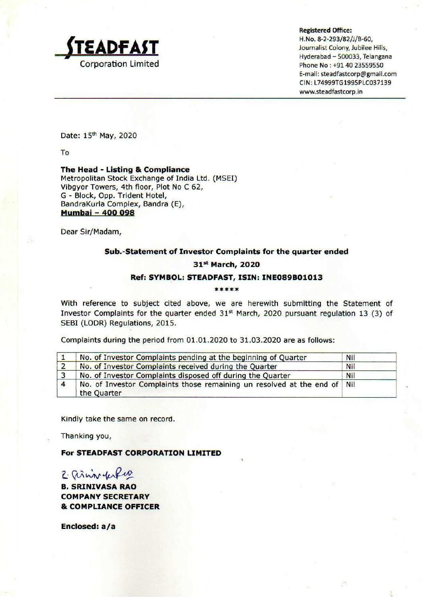

## Registered Office:

f H.No. 8-2-293/82/J/B-60, Hyderabad — 500033, Teiangana E-mail: steadfastcorp@gmail.com CIN: L74999TG1995PLC037139 www.steadfastcorp.in

Date: 15" May, 2020

To

The Head - Listing & Compliance Metropolitan Stock Exchange of India Ltd. (MSEI) Vibgyor Towers, 4th floor, Plot No C 62, G - Block, Opp. Trident Hotel, BandraKurla Complex, Bandra (E), Mumbai - 400 698 **STEADFAST**<br>
Corporation Limited<br>
Date: 15<sup>th</sup> May, 2020<br>
To<br>
The Head - Listing & Compliance<br>
Metropolitan Stock Exchange of India Ltd. (MS<br>
Vibgyr Towers, 4th floor, Plot No C 62,<br>
G - Block, Opp. Trident Hotel,<br>
Bandra **STEADFAST**<br>
Corporation Limited<br>
Corporation Limited<br>
The Head - Listing & Compliance<br>
Metropolitan Stock Exchange of India Ltd. (MS<br>
Vibgyor Towers, 4th floor, Plot No C 62,<br>
G- Block, Opp. Trident Hotel,<br>
BandraKurla C Corporation Limited<br>
Corporation Limited<br>
To<br>
The Head - Listing & Compliance<br>
The Head - Listing & Compliance<br>
Metropolitan Stock Exchange of India Ltd. (MS<br>
Nibgyor Towers, 4th floor, Plot No C 62,<br>
G - Block, Opp. Tride **EADFAST**<br>Corporation Limited<br>The Head - Listing & Compliance<br>Metropolitan Stock Exchange of India Ltd. (MS<br>Vibgyr Towers, 4th floor, Plot No C 62,<br>G - Block, Opp. Trident Hotel,<br>BandraKurla Complex, Bandra (E),<br>**Mumbai -**Corporation Limited<br>
To<br>
The Head - Listing & Compliance<br>
The Head - Listing & Compliance<br>
Metropolitan Stock Exchange of India Ltd. (MS<br>
Vibgyor Towers, 4th floor, Plot No C 62,<br>
G - Block, Opp. Trident Hotel,<br> **Bandraki** 

Dear Sir/Madam,

# Sub.-Statement of Investor Complaints for the quarter ended

# 31°t March, 2020

# Ref: SYMBOL: STEADFAST, ISIN: INE089B01013<br>\*\*\*\*\*

With reference to subject cited above, we are herewith submitting the Statement of Investor Complaints for the quarter ended  $31<sup>st</sup>$  March, 2020 pursuant regulation 13 (3) of SEBI (LODR) Regulations, 2015.

Complaints during the period from 01.01.2020 to 31.03.2020 are as follows:

| No. of Investor Complaints pending at the beginning of Quarter                            | Nil |
|-------------------------------------------------------------------------------------------|-----|
| No. of Investor Complaints received during the Quarter                                    | Nil |
| No. of Investor Complaints disposed off during the Quarter                                | Nil |
| No. of Investor Complaints those remaining un resolved at the end of   Nil<br>the Quarter |     |

Kindly take the same on record.

Thanking you,

For STEADFAST CORPORATION LIMITED

2. ainn ferfus

B. SRINIVASA RAO COMPANY SECRETARY & COMPLIANCE OFFICER

Enclosed: a/a